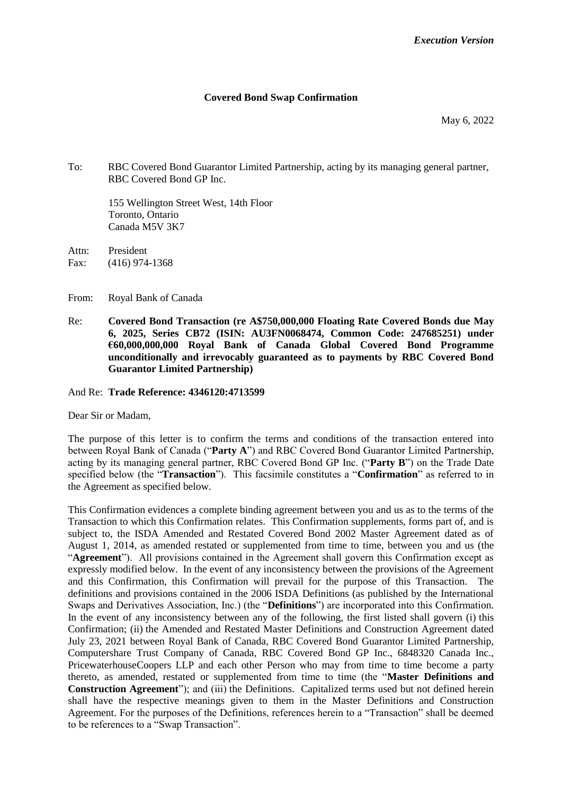#### **Covered Bond Swap Confirmation**

May 6, 2022

To: RBC Covered Bond Guarantor Limited Partnership, acting by its managing general partner, RBC Covered Bond GP Inc.

155 Wellington Street West, 14th Floor Toronto, Ontario Canada M5V 3K7

Attn: President Fax: (416) 974-1368

From: Royal Bank of Canada

Re: **Covered Bond Transaction (re A\$750,000,000 Floating Rate Covered Bonds due May 6, 2025, Series CB72 (ISIN: AU3FN0068474, Common Code: 247685251) under €60,000,000,000 Royal Bank of Canada Global Covered Bond Programme unconditionally and irrevocably guaranteed as to payments by RBC Covered Bond Guarantor Limited Partnership)**

And Re: **Trade Reference: 4346120:4713599**

Dear Sir or Madam,

The purpose of this letter is to confirm the terms and conditions of the transaction entered into between Royal Bank of Canada ("**Party A**") and RBC Covered Bond Guarantor Limited Partnership, acting by its managing general partner, RBC Covered Bond GP Inc. ("**Party B**") on the Trade Date specified below (the "**Transaction**"). This facsimile constitutes a "**Confirmation**" as referred to in the Agreement as specified below.

This Confirmation evidences a complete binding agreement between you and us as to the terms of the Transaction to which this Confirmation relates. This Confirmation supplements, forms part of, and is subject to, the ISDA Amended and Restated Covered Bond 2002 Master Agreement dated as of August 1, 2014, as amended restated or supplemented from time to time, between you and us (the "**Agreement**"). All provisions contained in the Agreement shall govern this Confirmation except as expressly modified below. In the event of any inconsistency between the provisions of the Agreement and this Confirmation, this Confirmation will prevail for the purpose of this Transaction. The definitions and provisions contained in the 2006 ISDA Definitions (as published by the International Swaps and Derivatives Association, Inc.) (the "**Definitions**") are incorporated into this Confirmation. In the event of any inconsistency between any of the following, the first listed shall govern (i) this Confirmation; (ii) the Amended and Restated Master Definitions and Construction Agreement dated July 23, 2021 between Royal Bank of Canada, RBC Covered Bond Guarantor Limited Partnership, Computershare Trust Company of Canada, RBC Covered Bond GP Inc., 6848320 Canada Inc., PricewaterhouseCoopers LLP and each other Person who may from time to time become a party thereto, as amended, restated or supplemented from time to time (the "**Master Definitions and Construction Agreement**"); and (iii) the Definitions. Capitalized terms used but not defined herein shall have the respective meanings given to them in the Master Definitions and Construction Agreement. For the purposes of the Definitions, references herein to a "Transaction" shall be deemed to be references to a "Swap Transaction".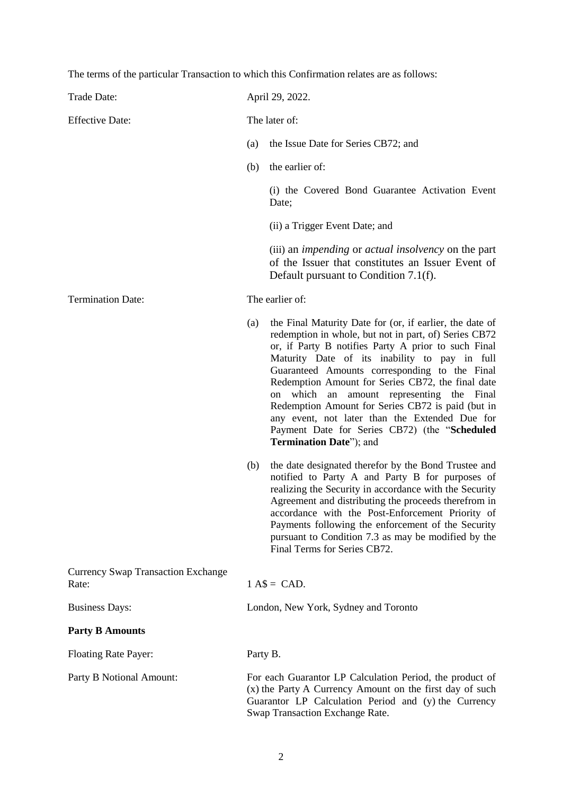The terms of the particular Transaction to which this Confirmation relates are as follows:

| Trade Date:                                        |               | April 29, 2022.                                                                                                                                                                                                                                                                                                                                                                                                                                                                                                                                                                        |  |
|----------------------------------------------------|---------------|----------------------------------------------------------------------------------------------------------------------------------------------------------------------------------------------------------------------------------------------------------------------------------------------------------------------------------------------------------------------------------------------------------------------------------------------------------------------------------------------------------------------------------------------------------------------------------------|--|
| <b>Effective Date:</b>                             | The later of: |                                                                                                                                                                                                                                                                                                                                                                                                                                                                                                                                                                                        |  |
|                                                    | (a)           | the Issue Date for Series CB72; and                                                                                                                                                                                                                                                                                                                                                                                                                                                                                                                                                    |  |
|                                                    | (b)           | the earlier of:                                                                                                                                                                                                                                                                                                                                                                                                                                                                                                                                                                        |  |
|                                                    |               | (i) the Covered Bond Guarantee Activation Event<br>Date;                                                                                                                                                                                                                                                                                                                                                                                                                                                                                                                               |  |
|                                                    |               | (ii) a Trigger Event Date; and                                                                                                                                                                                                                                                                                                                                                                                                                                                                                                                                                         |  |
|                                                    |               | (iii) an <i>impending</i> or <i>actual insolvency</i> on the part<br>of the Issuer that constitutes an Issuer Event of<br>Default pursuant to Condition 7.1(f).                                                                                                                                                                                                                                                                                                                                                                                                                        |  |
| <b>Termination Date:</b>                           |               | The earlier of:                                                                                                                                                                                                                                                                                                                                                                                                                                                                                                                                                                        |  |
|                                                    | (a)           | the Final Maturity Date for (or, if earlier, the date of<br>redemption in whole, but not in part, of) Series CB72<br>or, if Party B notifies Party A prior to such Final<br>Maturity Date of its inability to pay in full<br>Guaranteed Amounts corresponding to the Final<br>Redemption Amount for Series CB72, the final date<br>which<br>amount representing<br>the<br>${\rm an}$<br>Final<br>on<br>Redemption Amount for Series CB72 is paid (but in<br>any event, not later than the Extended Due for<br>Payment Date for Series CB72) (the "Scheduled<br>Termination Date"); and |  |
|                                                    | (b)           | the date designated therefor by the Bond Trustee and<br>notified to Party A and Party B for purposes of<br>realizing the Security in accordance with the Security<br>Agreement and distributing the proceeds therefrom in<br>accordance with the Post-Enforcement Priority of<br>Payments following the enforcement of the Security<br>pursuant to Condition 7.3 as may be modified by the<br>Final Terms for Series CB72.                                                                                                                                                             |  |
| <b>Currency Swap Transaction Exchange</b><br>Rate: | $1 A$ = CAD.$ |                                                                                                                                                                                                                                                                                                                                                                                                                                                                                                                                                                                        |  |
| <b>Business Days:</b>                              |               | London, New York, Sydney and Toronto                                                                                                                                                                                                                                                                                                                                                                                                                                                                                                                                                   |  |
| <b>Party B Amounts</b>                             |               |                                                                                                                                                                                                                                                                                                                                                                                                                                                                                                                                                                                        |  |
| <b>Floating Rate Payer:</b>                        | Party B.      |                                                                                                                                                                                                                                                                                                                                                                                                                                                                                                                                                                                        |  |
| Party B Notional Amount:                           |               | For each Guarantor LP Calculation Period, the product of<br>(x) the Party A Currency Amount on the first day of such<br>Guarantor LP Calculation Period and (y) the Currency<br>Swap Transaction Exchange Rate.                                                                                                                                                                                                                                                                                                                                                                        |  |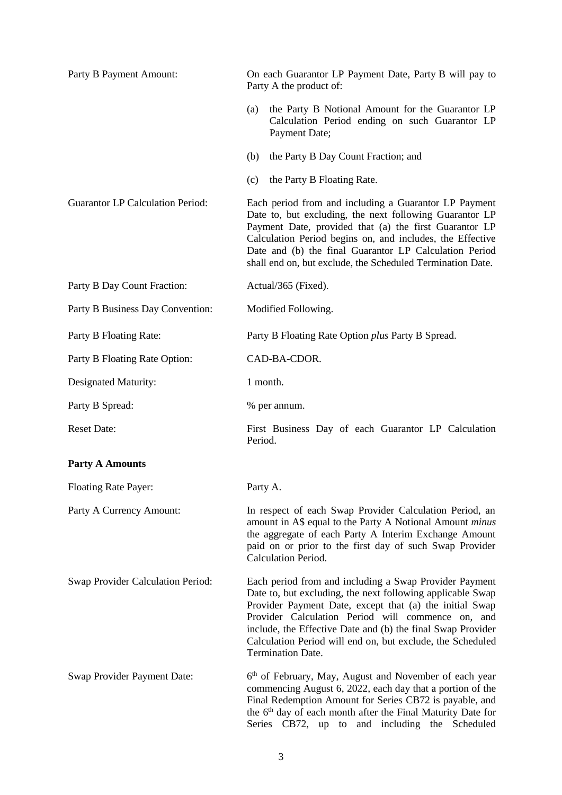| Party B Payment Amount:                  | On each Guarantor LP Payment Date, Party B will pay to<br>Party A the product of:                                                                                                                                                                                                                                                                                                             |  |
|------------------------------------------|-----------------------------------------------------------------------------------------------------------------------------------------------------------------------------------------------------------------------------------------------------------------------------------------------------------------------------------------------------------------------------------------------|--|
|                                          | the Party B Notional Amount for the Guarantor LP<br>(a)<br>Calculation Period ending on such Guarantor LP<br>Payment Date;                                                                                                                                                                                                                                                                    |  |
|                                          | the Party B Day Count Fraction; and<br>(b)                                                                                                                                                                                                                                                                                                                                                    |  |
|                                          | the Party B Floating Rate.<br>(c)                                                                                                                                                                                                                                                                                                                                                             |  |
| <b>Guarantor LP Calculation Period:</b>  | Each period from and including a Guarantor LP Payment<br>Date to, but excluding, the next following Guarantor LP<br>Payment Date, provided that (a) the first Guarantor LP<br>Calculation Period begins on, and includes, the Effective<br>Date and (b) the final Guarantor LP Calculation Period<br>shall end on, but exclude, the Scheduled Termination Date.                               |  |
| Party B Day Count Fraction:              | Actual/365 (Fixed).                                                                                                                                                                                                                                                                                                                                                                           |  |
| Party B Business Day Convention:         | Modified Following.                                                                                                                                                                                                                                                                                                                                                                           |  |
| Party B Floating Rate:                   | Party B Floating Rate Option plus Party B Spread.                                                                                                                                                                                                                                                                                                                                             |  |
| Party B Floating Rate Option:            | CAD-BA-CDOR.                                                                                                                                                                                                                                                                                                                                                                                  |  |
| Designated Maturity:                     | 1 month.                                                                                                                                                                                                                                                                                                                                                                                      |  |
| Party B Spread:                          | % per annum.                                                                                                                                                                                                                                                                                                                                                                                  |  |
| <b>Reset Date:</b>                       | First Business Day of each Guarantor LP Calculation<br>Period.                                                                                                                                                                                                                                                                                                                                |  |
| <b>Party A Amounts</b>                   |                                                                                                                                                                                                                                                                                                                                                                                               |  |
| Floating Rate Payer:                     | Party A.                                                                                                                                                                                                                                                                                                                                                                                      |  |
| Party A Currency Amount:                 | In respect of each Swap Provider Calculation Period, an<br>amount in A\$ equal to the Party A Notional Amount <i>minus</i><br>the aggregate of each Party A Interim Exchange Amount<br>paid on or prior to the first day of such Swap Provider<br>Calculation Period.                                                                                                                         |  |
| <b>Swap Provider Calculation Period:</b> | Each period from and including a Swap Provider Payment<br>Date to, but excluding, the next following applicable Swap<br>Provider Payment Date, except that (a) the initial Swap<br>Provider Calculation Period will commence on, and<br>include, the Effective Date and (b) the final Swap Provider<br>Calculation Period will end on, but exclude, the Scheduled<br><b>Termination Date.</b> |  |
| Swap Provider Payment Date:              | 6 <sup>th</sup> of February, May, August and November of each year<br>commencing August 6, 2022, each day that a portion of the<br>Final Redemption Amount for Series CB72 is payable, and<br>the 6 <sup>th</sup> day of each month after the Final Maturity Date for<br>Series CB72, up to and including the Scheduled                                                                       |  |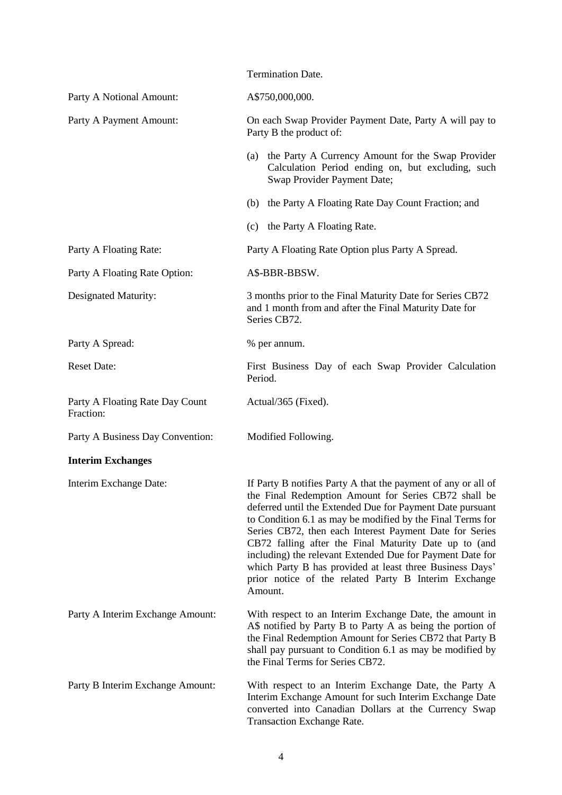|                                              | Termination Date.                                                                                                                                                                                                                                                                                                                                                                                                                                                                                                                                                |
|----------------------------------------------|------------------------------------------------------------------------------------------------------------------------------------------------------------------------------------------------------------------------------------------------------------------------------------------------------------------------------------------------------------------------------------------------------------------------------------------------------------------------------------------------------------------------------------------------------------------|
| Party A Notional Amount:                     | A\$750,000,000.                                                                                                                                                                                                                                                                                                                                                                                                                                                                                                                                                  |
| Party A Payment Amount:                      | On each Swap Provider Payment Date, Party A will pay to<br>Party B the product of:                                                                                                                                                                                                                                                                                                                                                                                                                                                                               |
|                                              | the Party A Currency Amount for the Swap Provider<br>(a)<br>Calculation Period ending on, but excluding, such<br>Swap Provider Payment Date;                                                                                                                                                                                                                                                                                                                                                                                                                     |
|                                              | the Party A Floating Rate Day Count Fraction; and<br>(b)                                                                                                                                                                                                                                                                                                                                                                                                                                                                                                         |
|                                              | the Party A Floating Rate.<br>(c)                                                                                                                                                                                                                                                                                                                                                                                                                                                                                                                                |
| Party A Floating Rate:                       | Party A Floating Rate Option plus Party A Spread.                                                                                                                                                                                                                                                                                                                                                                                                                                                                                                                |
| Party A Floating Rate Option:                | A\$-BBR-BBSW.                                                                                                                                                                                                                                                                                                                                                                                                                                                                                                                                                    |
| Designated Maturity:                         | 3 months prior to the Final Maturity Date for Series CB72<br>and 1 month from and after the Final Maturity Date for<br>Series CB72.                                                                                                                                                                                                                                                                                                                                                                                                                              |
| Party A Spread:                              | % per annum.                                                                                                                                                                                                                                                                                                                                                                                                                                                                                                                                                     |
| <b>Reset Date:</b>                           | First Business Day of each Swap Provider Calculation<br>Period.                                                                                                                                                                                                                                                                                                                                                                                                                                                                                                  |
| Party A Floating Rate Day Count<br>Fraction: | Actual/365 (Fixed).                                                                                                                                                                                                                                                                                                                                                                                                                                                                                                                                              |
| Party A Business Day Convention:             | Modified Following.                                                                                                                                                                                                                                                                                                                                                                                                                                                                                                                                              |
| <b>Interim Exchanges</b>                     |                                                                                                                                                                                                                                                                                                                                                                                                                                                                                                                                                                  |
| Interim Exchange Date:                       | If Party B notifies Party A that the payment of any or all of<br>the Final Redemption Amount for Series CB72 shall be<br>deferred until the Extended Due for Payment Date pursuant<br>to Condition 6.1 as may be modified by the Final Terms for<br>Series CB72, then each Interest Payment Date for Series<br>CB72 falling after the Final Maturity Date up to (and<br>including) the relevant Extended Due for Payment Date for<br>which Party B has provided at least three Business Days'<br>prior notice of the related Party B Interim Exchange<br>Amount. |
| Party A Interim Exchange Amount:             | With respect to an Interim Exchange Date, the amount in<br>A\$ notified by Party B to Party A as being the portion of<br>the Final Redemption Amount for Series CB72 that Party B<br>shall pay pursuant to Condition 6.1 as may be modified by<br>the Final Terms for Series CB72.                                                                                                                                                                                                                                                                               |
| Party B Interim Exchange Amount:             | With respect to an Interim Exchange Date, the Party A<br>Interim Exchange Amount for such Interim Exchange Date<br>converted into Canadian Dollars at the Currency Swap<br><b>Transaction Exchange Rate.</b>                                                                                                                                                                                                                                                                                                                                                     |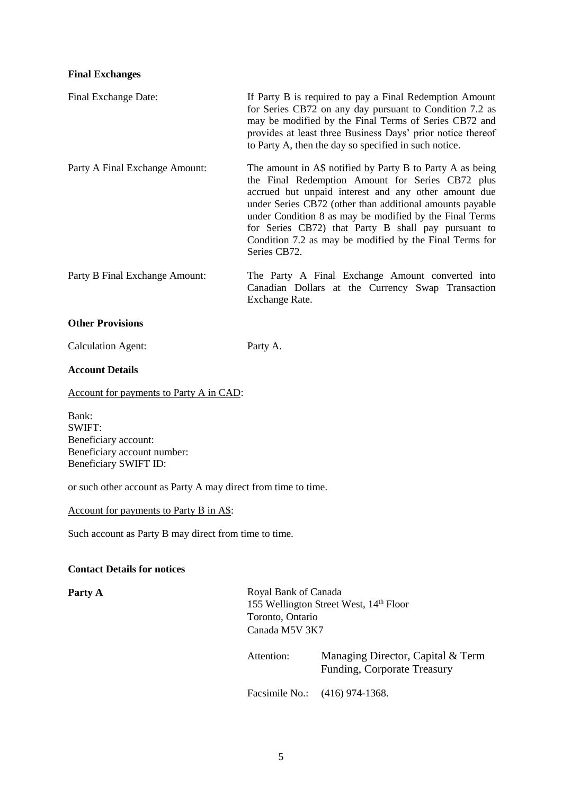### **Final Exchanges**

| Final Exchange Date:           | If Party B is required to pay a Final Redemption Amount<br>for Series CB72 on any day pursuant to Condition 7.2 as<br>may be modified by the Final Terms of Series CB72 and<br>provides at least three Business Days' prior notice thereof<br>to Party A, then the day so specified in such notice.                                                                                                                            |
|--------------------------------|--------------------------------------------------------------------------------------------------------------------------------------------------------------------------------------------------------------------------------------------------------------------------------------------------------------------------------------------------------------------------------------------------------------------------------|
| Party A Final Exchange Amount: | The amount in A\$ notified by Party B to Party A as being<br>the Final Redemption Amount for Series CB72 plus<br>accrued but unpaid interest and any other amount due<br>under Series CB72 (other than additional amounts payable<br>under Condition 8 as may be modified by the Final Terms<br>for Series CB72) that Party B shall pay pursuant to<br>Condition 7.2 as may be modified by the Final Terms for<br>Series CB72. |
| Party B Final Exchange Amount: | The Party A Final Exchange Amount converted into<br>Canadian Dollars at the Currency Swap Transaction<br>Exchange Rate.                                                                                                                                                                                                                                                                                                        |
| <b>Other Provisions</b>        |                                                                                                                                                                                                                                                                                                                                                                                                                                |

Calculation Agent:

Party A.

# **Account Details**

Account for payments to Party A in CAD:

Bank: SWIFT: Beneficiary account: Beneficiary account number: Beneficiary SWIFT ID:

or such other account as Party A may direct from time to time.

Account for payments to Party B in A\$:

Such account as Party B may direct from time to time.

### **Contact Details for notices**

Party A Royal Bank of Canada 155 Wellington Street West, 14<sup>th</sup> Floor Toronto, Ontario Canada M5V 3K7

> Attention: Managing Director, Capital & Term Funding, Corporate Treasury Facsimile No.: (416) 974-1368.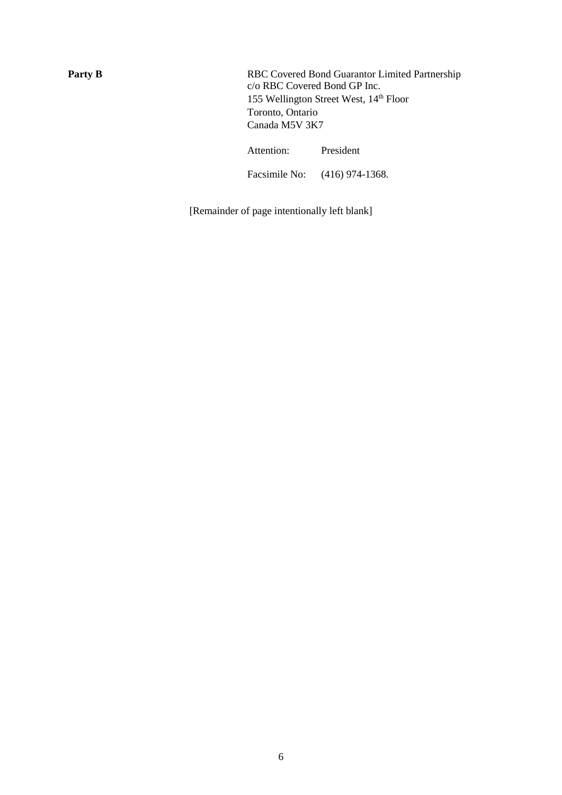Party B RBC Covered Bond Guarantor Limited Partnership c/o RBC Covered Bond GP Inc. 155 Wellington Street West, 14th Floor Toronto, Ontario Canada M5V 3K7

Attention: President

Facsimile No: (416) 974-1368.

[Remainder of page intentionally left blank]